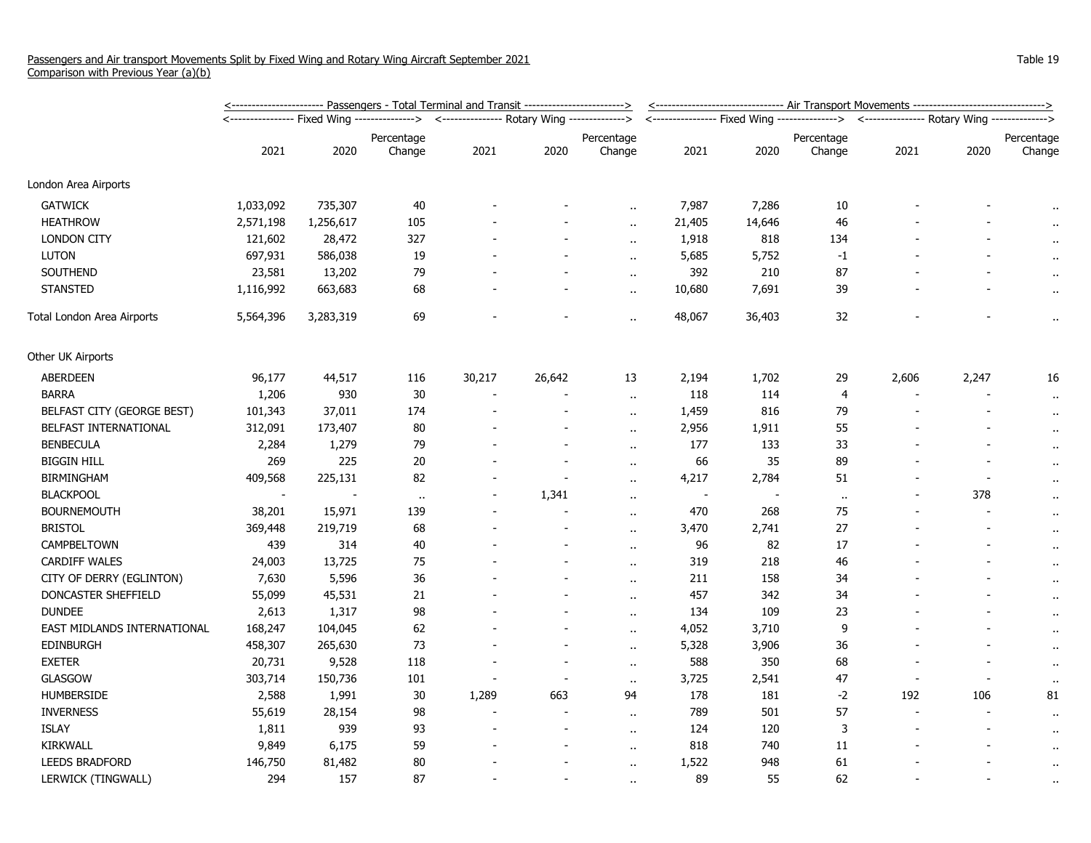|                             | <u>&lt;----------------------- Passengers - Total Terminal and Transit ------------------------&gt;</u> |           |            |                                             |                |                      |                                                                                          | <-------------------------------- Air Transport Movements -------------------------------> |                      |                |       |                      |  |
|-----------------------------|---------------------------------------------------------------------------------------------------------|-----------|------------|---------------------------------------------|----------------|----------------------|------------------------------------------------------------------------------------------|--------------------------------------------------------------------------------------------|----------------------|----------------|-------|----------------------|--|
|                             |                                                                                                         |           |            | <--------------- Rotary Wing -------------> |                |                      | <---------------- Fixed Wing --------------> <--------------- Rotary Wing -------------> |                                                                                            |                      |                |       |                      |  |
|                             |                                                                                                         |           | Percentage |                                             |                | Percentage           |                                                                                          |                                                                                            | Percentage           |                |       | Percentage           |  |
|                             | 2021                                                                                                    | 2020      | Change     | 2021                                        | 2020           | Change               | 2021                                                                                     | 2020                                                                                       | Change               | 2021           | 2020  | Change               |  |
| London Area Airports        |                                                                                                         |           |            |                                             |                |                      |                                                                                          |                                                                                            |                      |                |       |                      |  |
| <b>GATWICK</b>              | 1,033,092                                                                                               | 735,307   | $40\,$     |                                             |                |                      | 7,987                                                                                    | 7,286                                                                                      | 10                   |                |       |                      |  |
| <b>HEATHROW</b>             | 2,571,198                                                                                               | 1,256,617 | 105        |                                             |                | $\ddot{\phantom{a}}$ | 21,405                                                                                   | 14,646                                                                                     | 46                   |                |       | $\bullet$            |  |
| <b>LONDON CITY</b>          | 121,602                                                                                                 | 28,472    | 327        |                                             |                | $\ddotsc$            | 1,918                                                                                    | 818                                                                                        | 134                  |                |       |                      |  |
| <b>LUTON</b>                | 697,931                                                                                                 | 586,038   | 19         |                                             |                | $\ddot{\phantom{a}}$ | 5,685                                                                                    | 5,752                                                                                      | $-1$                 |                |       |                      |  |
| SOUTHEND                    | 23,581                                                                                                  | 13,202    | 79         |                                             |                | $\ddot{\phantom{a}}$ | 392                                                                                      | 210                                                                                        | 87                   |                |       | $\bullet$ .          |  |
| <b>STANSTED</b>             | 1,116,992                                                                                               | 663,683   | 68         |                                             |                | $\alpha$             | 10,680                                                                                   | 7,691                                                                                      | 39                   |                |       | $\alpha$             |  |
| Total London Area Airports  | 5,564,396                                                                                               | 3,283,319 | 69         |                                             |                | $\ddot{\phantom{a}}$ | 48,067                                                                                   | 36,403                                                                                     | 32                   |                |       | $\ddot{\phantom{1}}$ |  |
| Other UK Airports           |                                                                                                         |           |            |                                             |                |                      |                                                                                          |                                                                                            |                      |                |       |                      |  |
| ABERDEEN                    | 96,177                                                                                                  | 44,517    | 116        | 30,217                                      | 26,642         | 13                   | 2,194                                                                                    | 1,702                                                                                      | 29                   | 2,606          | 2,247 | 16                   |  |
| <b>BARRA</b>                | 1,206                                                                                                   | 930       | $30\,$     |                                             |                | $\ddot{\phantom{a}}$ | 118                                                                                      | 114                                                                                        | $\overline{4}$       |                |       | $\cdot$              |  |
| BELFAST CITY (GEORGE BEST)  | 101,343                                                                                                 | 37,011    | 174        |                                             |                | $\alpha$ .           | 1,459                                                                                    | 816                                                                                        | 79                   |                |       | $\alpha$             |  |
| BELFAST INTERNATIONAL       | 312,091                                                                                                 | 173,407   | $80\,$     |                                             |                | $\ddot{\phantom{a}}$ | 2,956                                                                                    | 1,911                                                                                      | 55                   |                |       | $\alpha$             |  |
| <b>BENBECULA</b>            | 2,284                                                                                                   | 1,279     | 79         |                                             | $\overline{a}$ | $\ddot{\phantom{a}}$ | 177                                                                                      | 133                                                                                        | 33                   |                |       | $\cdot$ .            |  |
| <b>BIGGIN HILL</b>          | 269                                                                                                     | 225       | $20\,$     |                                             | $\overline{a}$ | $\ddot{\phantom{a}}$ | 66                                                                                       | 35                                                                                         | 89                   |                |       | $\cdot$ .            |  |
| <b>BIRMINGHAM</b>           | 409,568                                                                                                 | 225,131   | 82         |                                             |                | $\alpha$             | 4,217                                                                                    | 2,784                                                                                      | 51                   |                |       | $\alpha$             |  |
| <b>BLACKPOOL</b>            |                                                                                                         |           | $\alpha$   |                                             | 1,341          | $\alpha$             | $\sim$                                                                                   |                                                                                            | $\ddot{\phantom{a}}$ |                | 378   | $\ddot{\phantom{1}}$ |  |
| <b>BOURNEMOUTH</b>          | 38,201                                                                                                  | 15,971    | 139        |                                             |                | $\ddot{\phantom{a}}$ | 470                                                                                      | 268                                                                                        | 75                   |                |       | $\bullet$ .          |  |
| <b>BRISTOL</b>              | 369,448                                                                                                 | 219,719   | 68         |                                             |                | $\alpha$ .           | 3,470                                                                                    | 2,741                                                                                      | 27                   |                |       | $\alpha$             |  |
| CAMPBELTOWN                 | 439                                                                                                     | 314       | 40         |                                             |                | $\ddot{\phantom{1}}$ | 96                                                                                       | 82                                                                                         | 17                   |                |       | $\cdot$              |  |
| <b>CARDIFF WALES</b>        | 24,003                                                                                                  | 13,725    | 75         |                                             |                | $\ddot{\phantom{a}}$ | 319                                                                                      | 218                                                                                        | 46                   |                |       | $\cdot$ .            |  |
| CITY OF DERRY (EGLINTON)    | 7,630                                                                                                   | 5,596     | 36         |                                             |                | $\ddot{\phantom{a}}$ | 211                                                                                      | 158                                                                                        | 34                   |                |       | $\alpha$             |  |
| DONCASTER SHEFFIELD         | 55,099                                                                                                  | 45,531    | 21         |                                             |                | $\ddot{\phantom{a}}$ | 457                                                                                      | 342                                                                                        | 34                   |                |       | $\bullet$ .          |  |
| <b>DUNDEE</b>               | 2,613                                                                                                   | 1,317     | 98         |                                             |                | $\ddot{\phantom{a}}$ | 134                                                                                      | 109                                                                                        | 23                   |                |       | $\mathbf{r}$ .       |  |
| EAST MIDLANDS INTERNATIONAL | 168,247                                                                                                 | 104,045   | 62         |                                             |                | $\alpha$ .           | 4,052                                                                                    | 3,710                                                                                      | 9                    |                |       | $\alpha$             |  |
| EDINBURGH                   | 458,307                                                                                                 | 265,630   | 73         |                                             |                | $\ddot{\phantom{a}}$ | 5,328                                                                                    | 3,906                                                                                      | 36                   |                |       | $\alpha$             |  |
| <b>EXETER</b>               | 20,731                                                                                                  | 9,528     | 118        |                                             |                | $\sim$               | 588                                                                                      | 350                                                                                        | 68                   |                |       | $\cdot$ .            |  |
| <b>GLASGOW</b>              | 303,714                                                                                                 | 150,736   | 101        |                                             |                | $\ddot{\phantom{a}}$ | 3,725                                                                                    | 2,541                                                                                      | 47                   |                |       | $\bullet$ .          |  |
| <b>HUMBERSIDE</b>           | 2,588                                                                                                   | 1,991     | $30\,$     | 1,289                                       | 663            | 94                   | 178                                                                                      | 181                                                                                        | $-2$                 | 192            | 106   | 81                   |  |
| <b>INVERNESS</b>            | 55,619                                                                                                  | 28,154    | 98         |                                             |                | $\ddot{\phantom{a}}$ | 789                                                                                      | 501                                                                                        | 57                   | $\blacksquare$ |       | $\bullet$ .          |  |
| <b>ISLAY</b>                | 1,811                                                                                                   | 939       | 93         |                                             |                | $\ddot{\phantom{a}}$ | 124                                                                                      | 120                                                                                        | 3                    |                |       | $\cdot$              |  |
| KIRKWALL                    | 9,849                                                                                                   | 6,175     | 59         |                                             |                | $\ddot{\phantom{a}}$ | 818                                                                                      | 740                                                                                        | 11                   |                |       | $\cdot$ .            |  |
| <b>LEEDS BRADFORD</b>       | 146,750                                                                                                 | 81,482    | $80\,$     |                                             |                | $\alpha$             | 1,522                                                                                    | 948                                                                                        | 61                   |                |       | $\bullet$ .          |  |
| LERWICK (TINGWALL)          | 294                                                                                                     | 157       | 87         |                                             |                | $\ddot{\phantom{a}}$ | 89                                                                                       | 55                                                                                         | 62                   |                |       | $\sim$               |  |